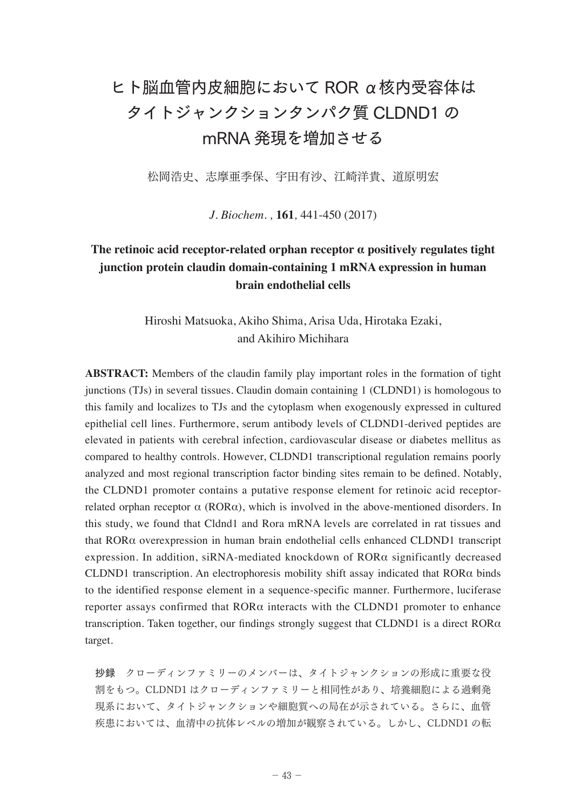## ヒト脳血管内皮細胞において ROR α核内受容体は タイトジャンクションタンパク質 CLDND1 の mRNA 発現を増加させる

松岡浩史、志摩亜季保、宇田有沙、江崎洋貴、道原明宏

*J. Biochem. ,* **161***,* 441-450 (2017)

## **The retinoic acid receptor-related orphan receptor α positively regulates tight junction protein claudin domain-containing 1 mRNA expression in human brain endothelial cells**

Hiroshi Matsuoka, Akiho Shima, Arisa Uda, Hirotaka Ezaki, and Akihiro Michihara

**ABSTRACT:** Members of the claudin family play important roles in the formation of tight junctions (TJs) in several tissues. Claudin domain containing 1 (CLDND1) is homologous to this family and localizes to TJs and the cytoplasm when exogenously expressed in cultured epithelial cell lines. Furthermore, serum antibody levels of CLDND1-derived peptides are elevated in patients with cerebral infection, cardiovascular disease or diabetes mellitus as compared to healthy controls. However, CLDND1 transcriptional regulation remains poorly analyzed and most regional transcription factor binding sites remain to be defined. Notably, the CLDND1 promoter contains a putative response element for retinoic acid receptorrelated orphan receptor  $\alpha$  (ROR $\alpha$ ), which is involved in the above-mentioned disorders. In this study, we found that Cldnd1 and Rora mRNA levels are correlated in rat tissues and that RORα overexpression in human brain endothelial cells enhanced CLDND1 transcript expression. In addition, siRNA-mediated knockdown of RORα significantly decreased CLDND1 transcription. An electrophoresis mobility shift assay indicated that RORα binds to the identified response element in a sequence-specific manner. Furthermore, luciferase reporter assays confirmed that  $ROR\alpha$  interacts with the CLDND1 promoter to enhance transcription. Taken together, our findings strongly suggest that CLDND1 is a direct  $ROR\alpha$ target.

抄録 クローディンファミリーのメンバーは、タイトジャンクションの形成に重要な役 割をもつ。CLDND1 はクローディンファミリーと相同性があり、培養細胞による過剰発 現系において、タイトジャンクションや細胞質への局在が示されている。さらに、血管 疾患においては、血清中の抗体レベルの増加が観察されている。しかし、CLDND1 の転